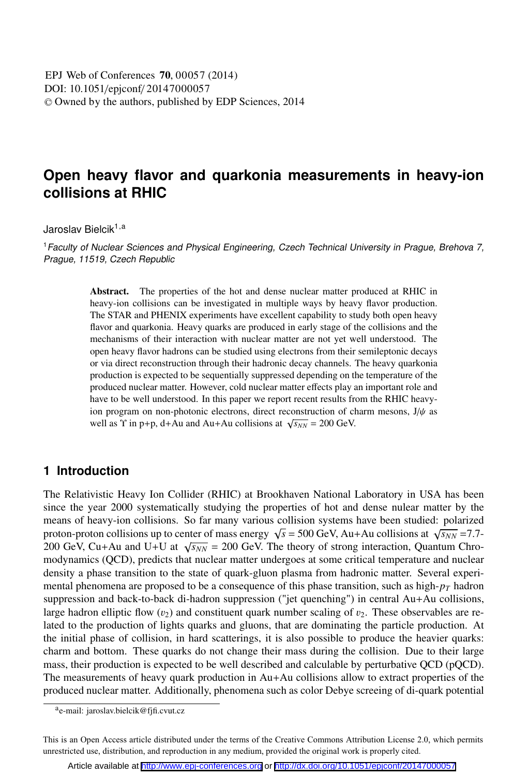# **Open heavy flavor and quarkonia measurements in heavy-ion collisions at RHIC**

Jaroslav Bielcik<sup>1,a</sup>

<sup>1</sup> Faculty of Nuclear Sciences and Physical Engineering, Czech Technical University in Prague, Brehova 7, Prague, 11519, Czech Republic

> Abstract. The properties of the hot and dense nuclear matter produced at RHIC in heavy-ion collisions can be investigated in multiple ways by heavy flavor production. The STAR and PHENIX experiments have excellent capability to study both open heavy flavor and quarkonia. Heavy quarks are produced in early stage of the collisions and the mechanisms of their interaction with nuclear matter are not yet well understood. The open heavy flavor hadrons can be studied using electrons from their semileptonic decays or via direct reconstruction through their hadronic decay channels. The heavy quarkonia production is expected to be sequentially suppressed depending on the temperature of the produced nuclear matter. However, cold nuclear matter effects play an important role and have to be well understood. In this paper we report recent results from the RHIC heavyion program on non-photonic electrons, direct reconstruction of charm mesons,  $J/\psi$  as well as  $\Upsilon$  in p+p, d+Au and Au+Au collisions at  $\sqrt{s_{NN}}$  = 200 GeV.

## **1 Introduction**

The Relativistic Heavy Ion Collider (RHIC) at Brookhaven National Laboratory in USA has been since the year 2000 systematically studying the properties of hot and dense nulear matter by the means of heavy-ion collisions. So far many various collision systems have been studied: polarized proton-proton collisions up to center of mass energy  $\sqrt{s}$  = 500 GeV, Au+Au collisions at  $\sqrt{s_{NN}}$  = 7.7-200 GeV, Cu+Au and U+U at  $\sqrt{s_{NN}}$  = 200 GeV. The theory of strong interaction, Quantum Chromodynamics (QCD), predicts that nuclear matter undergoes at some critical temperature and nuclear density a phase transition to the state of quark-gluon plasma from hadronic matter. Several experimental phenomena are proposed to be a consequence of this phase transition, such as high- $p<sub>T</sub>$  hadron suppression and back-to-back di-hadron suppression ("jet quenching") in central Au+Au collisions, large hadron elliptic flow  $(v_2)$  and constituent quark number scaling of  $v_2$ . These observables are related to the production of lights quarks and gluons, that are dominating the particle production. At the initial phase of collision, in hard scatterings, it is also possible to produce the heavier quarks: charm and bottom. These quarks do not change their mass during the collision. Due to their large mass, their production is expected to be well described and calculable by perturbative QCD (pQCD). The measurements of heavy quark production in Au+Au collisions allow to extract properties of the produced nuclear matter. Additionally, phenomena such as color Debye screeing of di-quark potential

ae-mail: jaroslav.bielcik@fjfi.cvut.cz

This is an Open Access article distributed under the terms of the Creative Commons Attribution License 2.0, which permits unrestricted use, distribution, and reproduction in any medium, provided the original work is properly cited.

Article available at <http://www.epj-conferences.org> or <http://dx.doi.org/10.1051/epjconf/20147000057>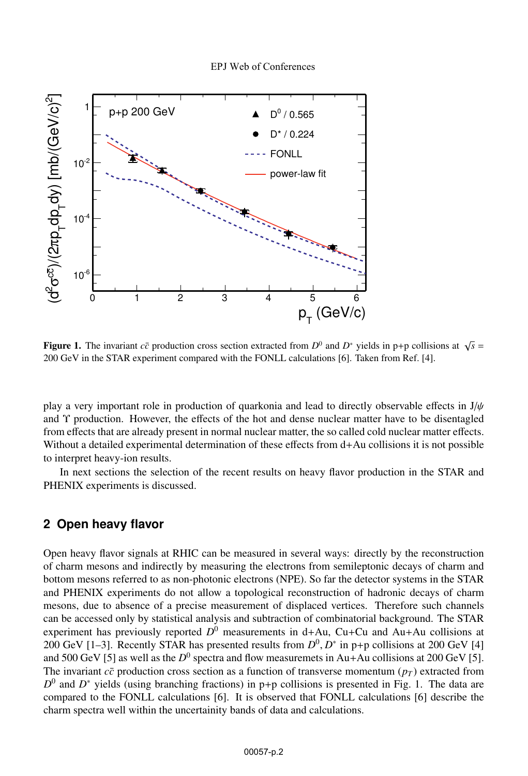

**Figure 1.** The invariant  $c\bar{c}$  production cross section extracted from  $D^0$  and  $D^*$  yields in p+p collisions at  $\sqrt{s}$  = 200 GeV in the STAR experiment compared with the FONLL calculations [6]. Taken from Ref. [4].

play a very important role in production of quarkonia and lead to directly observable effects in  $J/\psi$ and Υ production. However, the effects of the hot and dense nuclear matter have to be disentagled from effects that are already present in normal nuclear matter, the so called cold nuclear matter effects. Without a detailed experimental determination of these effects from d+Au collisions it is not possible to interpret heavy-ion results.

In next sections the selection of the recent results on heavy flavor production in the STAR and PHENIX experiments is discussed.

#### **2 Open heavy flavor**

Open heavy flavor signals at RHIC can be measured in several ways: directly by the reconstruction of charm mesons and indirectly by measuring the electrons from semileptonic decays of charm and bottom mesons referred to as non-photonic electrons (NPE). So far the detector systems in the STAR and PHENIX experiments do not allow a topological reconstruction of hadronic decays of charm mesons, due to absence of a precise measurement of displaced vertices. Therefore such channels can be accessed only by statistical analysis and subtraction of combinatorial background. The STAR experiment has previously reported  $D^0$  measurements in d+Au, Cu+Cu and Au+Au collisions at 200 GeV [1–3]. Recently STAR has presented results from  $D^0$ ,  $D^*$  in p+p collisions at 200 GeV [4] and 500 GeV [5] as well as the  $D^0$  spectra and flow measuremets in Au+Au collisions at 200 GeV [5]. The invariant  $c\bar{c}$  production cross section as a function of transverse momentum ( $p_T$ ) extracted from  $D^0$  and  $D^*$  yields (using branching fractions) in p+p collisions is presented in Fig. 1. The data are compared to the FONLL calculations [6]. It is observed that FONLL calculations [6] describe the charm spectra well within the uncertainity bands of data and calculations.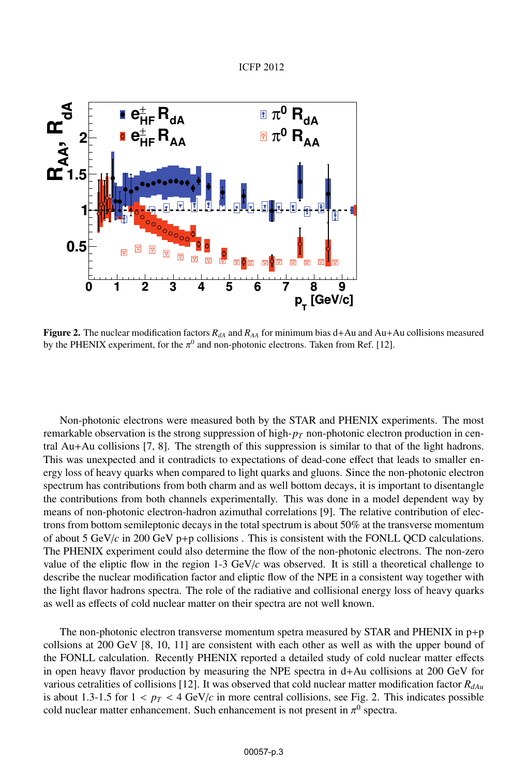



Figure 2. The nuclear modification factors  $R_{dA}$  and  $R_{AA}$  for minimum bias d+Au and Au+Au collisions measured by the PHENIX experiment, for the  $\pi^0$  and non-photonic electrons. Taken from Ref. [12].

Non-photonic electrons were measured both by the STAR and PHENIX experiments. The most remarkable observation is the strong suppression of high-*pT* non-photonic electron production in central Au+Au collisions [7, 8]. The strength of this suppression is similar to that of the light hadrons. This was unexpected and it contradicts to expectations of dead-cone effect that leads to smaller energy loss of heavy quarks when compared to light quarks and gluons. Since the non-photonic electron spectrum has contributions from both charm and as well bottom decays, it is important to disentangle the contributions from both channels experimentally. This was done in a model dependent way by means of non-photonic electron-hadron azimuthal correlations [9]. The relative contribution of electrons from bottom semileptonic decays in the total spectrum is about 50% at the transverse momentum of about 5 GeV/*c* in 200 GeV p+p collisions . This is consistent with the FONLL QCD calculations. The PHENIX experiment could also determine the flow of the non-photonic electrons. The non-zero value of the eliptic flow in the region 1-3 GeV/*c* was observed. It is still a theoretical challenge to describe the nuclear modification factor and eliptic flow of the NPE in a consistent way together with the light flavor hadrons spectra. The role of the radiative and collisional energy loss of heavy quarks as well as effects of cold nuclear matter on their spectra are not well known.

The non-photonic electron transverse momentum spetra measured by STAR and PHENIX in  $p+p$ collsions at 200 GeV [8, 10, 11] are consistent with each other as well as with the upper bound of the FONLL calculation. Recently PHENIX reported a detailed study of cold nuclear matter effects in open heavy flavor production by measuring the NPE spectra in d+Au collisions at 200 GeV for various cetralities of collisions [12]. It was observed that cold nuclear matter modification factor  $R_{dAu}$ is about 1.3-1.5 for  $1 < p_T < 4$  GeV/*c* in more central collisions, see Fig. 2. This indicates possible cold nuclear matter enhancement. Such enhancement is not present in  $\pi^0$  spectra.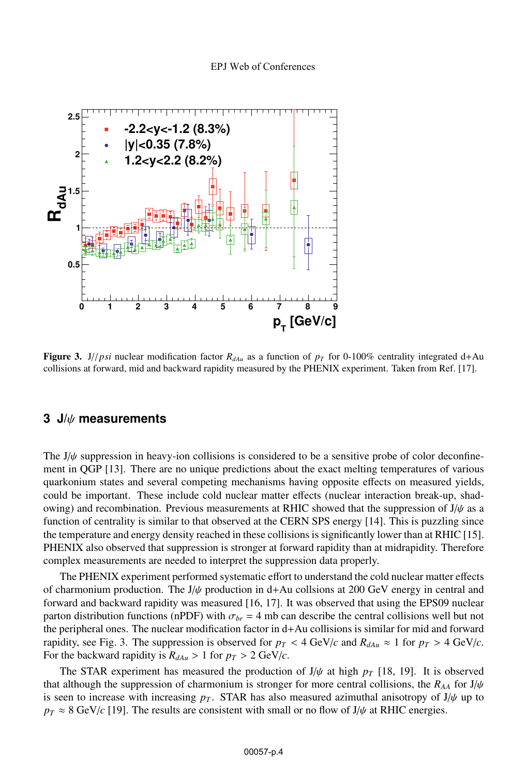

Figure 3. J//*psi* nuclear modification factor  $R_{\text{dA}u}$  as a function of  $p_T$  for 0-100% centrality integrated d+Au collisions at forward, mid and backward rapidity measured by the PHENIX experiment. Taken from Ref. [17].

#### **3 J/**ψ **measurements**

The  $J/\psi$  suppression in heavy-ion collisions is considered to be a sensitive probe of color deconfinement in QGP [13]. There are no unique predictions about the exact melting temperatures of various quarkonium states and several competing mechanisms having opposite effects on measured yields, could be important. These include cold nuclear matter effects (nuclear interaction break-up, shadowing) and recombination. Previous measurements at RHIC showed that the suppression of  $J/\psi$  as a function of centrality is similar to that observed at the CERN SPS energy [14]. This is puzzling since the temperature and energy density reached in these collisions is significantly lower than at RHIC [15]. PHENIX also observed that suppression is stronger at forward rapidity than at midrapidity. Therefore complex measurements are needed to interpret the suppression data properly.

The PHENIX experiment performed systematic effort to understand the cold nuclear matter effects of charmonium production. The  $J/\psi$  production in d+Au collsions at 200 GeV energy in central and forward and backward rapidity was measured [16, 17]. It was observed that using the EPS09 nuclear parton distribution functions (nPDF) with  $\sigma_{br} = 4$  mb can describe the central collisions well but not the peripheral ones. The nuclear modification factor in d+Au collisions is similar for mid and forward rapidity, see Fig. 3. The suppression is observed for  $p_T < 4$  GeV/*c* and  $R_{dAu} \approx 1$  for  $p_T > 4$  GeV/*c*. For the backward rapidity is  $R_{dAu} > 1$  for  $p_T > 2$  GeV/*c*.

The STAR experiment has measured the production of  $J/\psi$  at high  $p_T$  [18, 19]. It is observed that although the suppression of charmonium is stronger for more central collisions, the  $R_{AA}$  for  $J/\psi$ is seen to increase with increasing  $p<sub>T</sub>$ . STAR has also measured azimuthal anisotropy of J/ $\psi$  up to  $p_T \approx 8$  GeV/*c* [19]. The results are consistent with small or no flow of J/ $\psi$  at RHIC energies.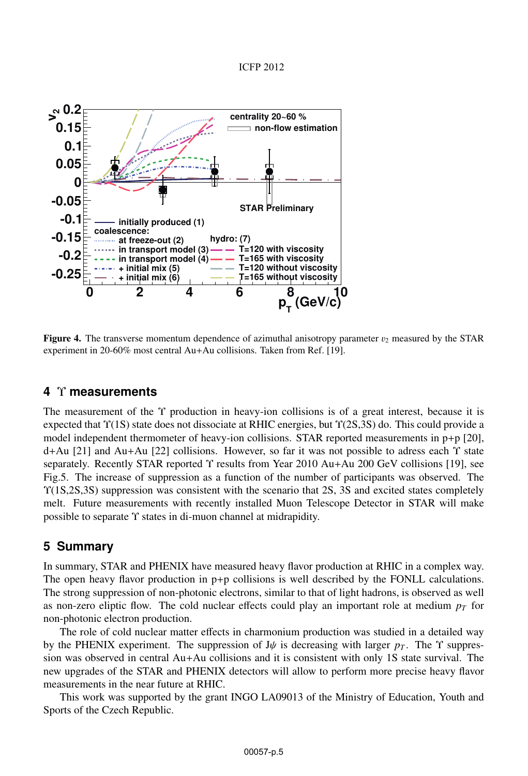

**Figure 4.** The transverse momentum dependence of azimuthal anisotropy parameter  $v_2$  measured by the STAR experiment in 20-60% most central Au+Au collisions. Taken from Ref. [19].

#### **4** Υ **measurements**

The measurement of the Υ production in heavy-ion collisions is of a great interest, because it is expected that Υ(1S) state does not dissociate at RHIC energies, but Υ(2S,3S) do. This could provide a model independent thermometer of heavy-ion collisions. STAR reported measurements in p+p [20], d+Au [21] and Au+Au [22] collisions. However, so far it was not possible to adress each Υ state separately. Recently STAR reported Υ results from Year 2010 Au+Au 200 GeV collisions [19], see Fig.5. The increase of suppression as a function of the number of participants was observed. The Υ(1S,2S,3S) suppression was consistent with the scenario that 2S, 3S and excited states completely melt. Future measurements with recently installed Muon Telescope Detector in STAR will make possible to separate Υ states in di-muon channel at midrapidity.

## **5 Summary**

In summary, STAR and PHENIX have measured heavy flavor production at RHIC in a complex way. The open heavy flavor production in p+p collisions is well described by the FONLL calculations. The strong suppression of non-photonic electrons, similar to that of light hadrons, is observed as well as non-zero eliptic flow. The cold nuclear effects could play an important role at medium  $p<sub>T</sub>$  for non-photonic electron production.

The role of cold nuclear matter effects in charmonium production was studied in a detailed way by the PHENIX experiment. The suppression of  $J\psi$  is decreasing with larger  $p_T$ . The  $\Upsilon$  suppression was observed in central Au+Au collisions and it is consistent with only 1S state survival. The new upgrades of the STAR and PHENIX detectors will allow to perform more precise heavy flavor measurements in the near future at RHIC.

This work was supported by the grant INGO LA09013 of the Ministry of Education, Youth and Sports of the Czech Republic.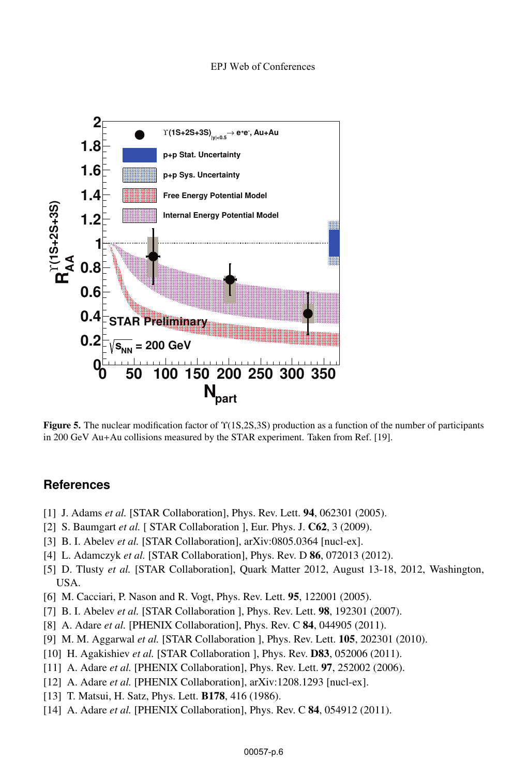

Figure 5. The nuclear modification factor of  $\Upsilon(1S,2S,3S)$  production as a function of the number of participants in 200 GeV Au+Au collisions measured by the STAR experiment. Taken from Ref. [19].

## **References**

- [1] J. Adams *et al.* [STAR Collaboration], Phys. Rev. Lett. **94**, 062301 (2005).
- [2] S. Baumgart *et al.* [ STAR Collaboration ], Eur. Phys. J. C62, 3 (2009).
- [3] B. I. Abelev *et al.* [STAR Collaboration], arXiv:0805.0364 [nucl-ex].
- [4] L. Adamczyk *et al.* [STAR Collaboration], Phys. Rev. D **86**, 072013 (2012).
- [5] D. Tlusty *et al.* [STAR Collaboration], Quark Matter 2012, August 13-18, 2012, Washington, USA.
- [6] M. Cacciari, P. Nason and R. Vogt, Phys. Rev. Lett. 95, 122001 (2005).
- [7] B. I. Abelev *et al.* [STAR Collaboration ], Phys. Rev. Lett. 98, 192301 (2007).
- [8] A. Adare *et al.* [PHENIX Collaboration], Phys. Rev. C 84, 044905 (2011).
- [9] M. M. Aggarwal *et al.* [STAR Collaboration ], Phys. Rev. Lett. 105, 202301 (2010).
- [10] H. Agakishiev *et al.* [STAR Collaboration ], Phys. Rev. D83, 052006 (2011).
- [11] A. Adare *et al.* [PHENIX Collaboration], Phys. Rev. Lett. **97**, 252002 (2006).
- [12] A. Adare *et al.* [PHENIX Collaboration], arXiv:1208.1293 [nucl-ex].
- [13] T. Matsui, H. Satz, Phys. Lett. B178, 416 (1986).
- [14] A. Adare *et al.* [PHENIX Collaboration], Phys. Rev. C **84**, 054912 (2011).